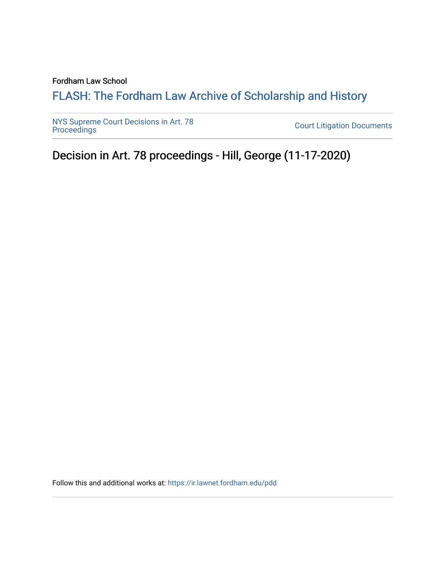Fordham Law School

## FLASH: The For[dham Law Archive of Scholarship and Hist](https://ir.lawnet.fordham.edu/)ory

[NYS Supreme Court Decisions in Art. 78](https://ir.lawnet.fordham.edu/pdd)

**Court Litigation Documents** 

Decision in Art. 78 proceedings - Hill, George (11-17-2020)

Follow this and additional works at: [https://ir.lawnet.fordham.edu/pdd](https://ir.lawnet.fordham.edu/pdd?utm_source=ir.lawnet.fordham.edu%2Fpdd%2F379&utm_medium=PDF&utm_campaign=PDFCoverPages)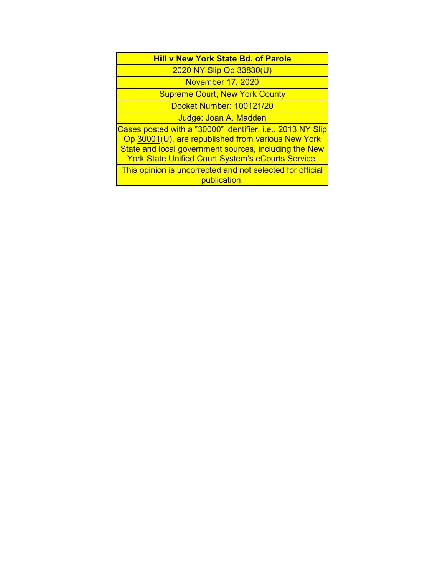2020 NY Slip Op 33830(U)

November 17, 2020

Supreme Court, New York County

Docket Number: 100121/20

Judge: Joan A. Madden

Cases posted with a "30000" identifier, i.e., 2013 NY Slip Op 30001(U), are republished from various New York State and local government sources, including the New York State Unified Court System's eCourts Service.

This opinion is uncorrected and not selected for official publication.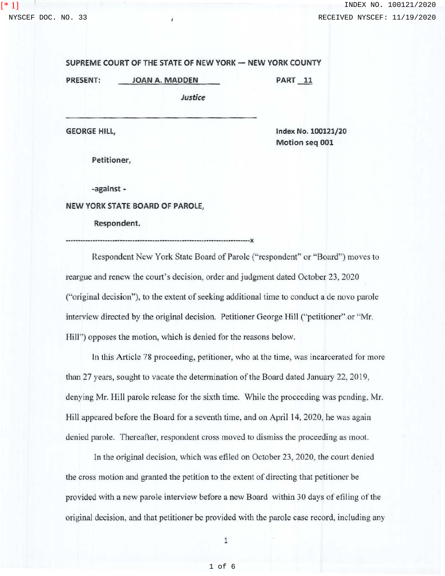[\* 1]

## **SUPREME COURT OF THE STATE OF NEW YORK - NEW YORK COUNTY**

**PRESENT: JOAN A. MADDEN** 

*Justice* 

**GEORGE HILL,** 

**Index No. 100121/20 Motion seq 001** 

**PART 11** 

**Petitioner,** 

**-against** -

**NEW YORK STATE BOARD OF PAROLE,** 

**Respondent.** 

---------------------------------------------------------------------------x

Respondent New York State Board of Parole ("respondent" or "Board") moves to reargue and renew the court's decision, order and judgment dated October 23, 2020 ("original decision"), to the extent of seeking additional time to conduct a de novo parole interview directed by the original decision. Petitioner George Hill ("petitioner" or "Mr. Hill") opposes the motion, which is denied for the reasons below.

In this Article 78 proceeding, petitioner, who at the time, was incarcerated for more than 27 years, sought to vacate the determination of the Board dated January 22, 2019, denying Mr. Hill parole release for the sixth time. While the proceeding was pending, Mr. Hill appeared before the Board for a seventh time, and on April 14, 2020, he was again denied parole. Thereafter, respondent cross moved to dismiss the proceeding as moot.

In the original decision, which was efiled on October 23, 2020, the court denied the cross motion and granted the petition to the extent of directing that petitioner be provided with a new parole interview before a new Board within 30 days of efiling of the original decision, and that petitioner be provided with the parole case record, including any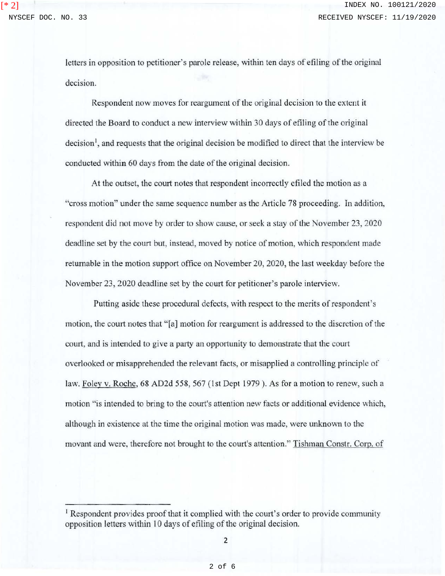[\* 2]

letters in opposition to petitioner's parole release, within ten days of efiling of the original decision.

Respondent now moves for reargument of the original decision to the extent it directed the Board to conduct a new interview within 30 days of efiling of the original decision<sup>1</sup>, and requests that the original decision be modified to direct that the interview be conducted within 60 days from the date of the original decision.

At the outset, the court notes that respondent incorrectly efiled the motion as a "cross motion" under the same sequence number as the Article 78 proceeding. In addition, respondent did not move by order to show cause, or seek a stay of the November 23, 2020 deadline set by the court but, instead, moved by notice of motion, which respondent made returnable in the motion support office on November 20, 2020, the last weekday before the November 23, 2020 deadline set by the court for petitioner's parole interview.

Putting aside these procedural defects, with respect to the merits of respondent's motion, the court notes that "[a] motion for reargument is addressed to the discretion of the court, and is intended to give a party an opportunity to demonstrate that the court overlooked or misapprehended the relevant facts, or misapplied a controlling principle of law. Foley v. Roche, 68 AD2d 558, 567 (1st Dept 1979 ). As for a motion to renew, such a motion "is intended to bring to the court's attention new facts or additional evidence which, although in existence at the time the original motion was made, were unknown to the movant and were, therefore not brought to the court's attention." Tishman Constr. Corp. of

<sup>&</sup>lt;sup>1</sup> Respondent provides proof that it complied with the court's order to provide community opposition letters within 10 days of efiling of the original decision.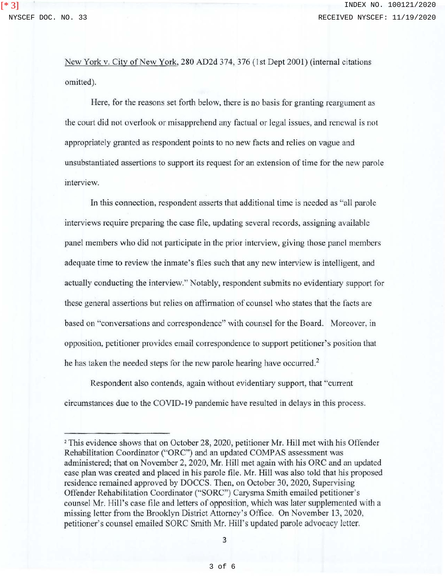[\* 3]

New York v. City of New York, 280 AD2d 374, 376 (1st Dept 2001) (internal citations omitted).

Here, for the reasons set forth below, there is no basis for granting reargument as the court did not overlook or misapprehend any factual or legal issues, and renewal is not appropriately granted as respondent points to no new facts and relies on vague and unsubstantiated assertions to support its request for an extension of time for the new parole interview.

In this connection, respondent asserts that additional time is needed as "all parole interviews require preparing the case file, updating several records, assigning available panel members who did not participate in the prior interview, giving those panel members adequate time to review the inmate's files such that any new interview is intelligent, and actually conducting the interview." Notably, respondent submits no evidentiary support for these general assertions but relies on affirmation of counsel who states that the facts are based on "conversations and correspondence" with counsel for the Board. Moreover, in opposition, petitioner provides email correspondence to support petitioner's position that he has taken the needed steps for the new parole hearing have occurred.<sup>2</sup>

Respondent also contends, again without evidentiary support, that "current circumstances due to the COVID-19 pandemic have resulted in delays in this process.

<sup>2</sup> This evidence shows that on October 28, 2020, petitioner Mr. Hill met with his Offender Rehabilitation Coordinator ("ORC") and an updated COMPAS assessment was administered; that on November 2, 2020, Mr. Hill met again with his ORC and an updated case plan was created and placed in his parole file. Mr. Hill was also told that his proposed residence remained approved by DOCCS. Then, on October 30, 2020, Supervising Offender Rehabilitation Coordinator ("SORC") Carysma Smith emailed petitioner's counsel Mr. Hill's case file and letters of opposition, which was later supplemented with a missing letter from the Brooklyn District Attorney's Office. On November 13, 2020, petitioner's counsel emailed SORC Smith Mr. Hill's updated parole advocacy letter.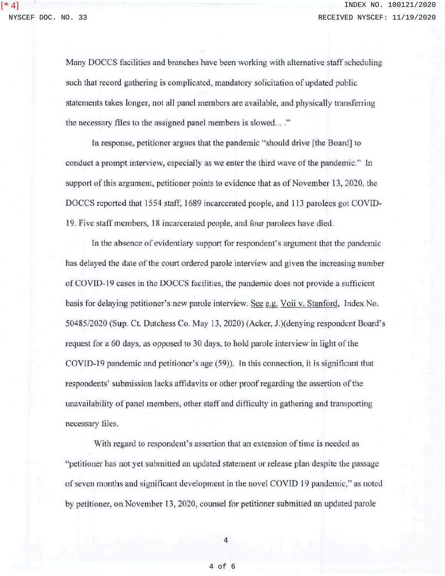[\* 4]

Many DOCCS facilities and branches have been working with alternative staff scheduling such that record gathering is complicated, mandatory solicitation of updated public statements takes longer, not all panel members are available, and physically transferring the necessary files to the assigned panel members is slowed... ."

In response, petitioner argues that the pandemic "should drive (the Board] to conduct a prompt interview, especially as we enter the third wave of the pandemic." In support of this argument, petitioner points to evidence that as of November 13, 2020, the DOCCS reported that 1554 staff, 1689 incarcerated people, and 113 parolees got COVID-19. Five staff members, 18 incarcerated people, and four parolees have died.

In the absence of evidentiary support for respondent's argument that the pandemic has delayed the date of the court ordered parole interview and given the increasing number of COVID-19 cases in the DOCCS facilities, the pandemic does not provide a sufficient basis for delaying petitioner's new parole interview. See e.g. Voii v. Stanford, Index No. 50485/2020 (Sup. Ct. Dutchess Co. May 13, 2020) (Acker, J.)(denying respondent Board's request for a 60 days, as opposed to 30 days, to hold parole interview in light of the COVlD-19 pandemic and petitioner's age (59)). In this connection, it is significant that respondents' submission Jacks affidavits or other proofregarding the assertion of the unavailability of panel members, other staff and difficulty in gathering and transporting necessary files.

With regard to respondent's assertion that an extension of time is needed as "petitioner has not yet submitted an updated statement or release plan despite the passage of seven months and significant development in the novel COVID 19 pandemic," as noted by petitioner, on November 13, 2020, counsel for petitioner submitted an updated parole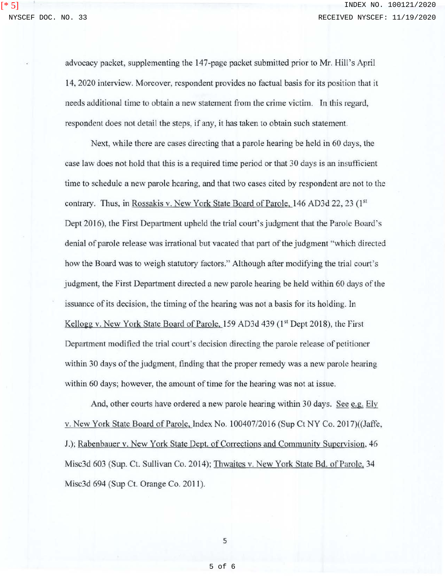$[ * 5]$ 

advocacy packet, supplementing the 147-page packet submitted prior to Mr. Hill's April 14, 2020 interview. Moreover, respondent provides no factual basis for its position that it needs additional time to obtain a new statement from the crime victim. In this regard, respondent does not detail the steps, if any, it has taken to obtain such statement.

Next, while there are cases directing that a parole hearing be held in 60 days, the case Jaw does not hold that this is a required time period or that 30 days is an insufficient time to schedule a new parole hearing, and that two cases cited by respondent are not to the contrary. Thus, in Rossakis v. New York State Board of Parole, 146 AD3d 22, 23 (1st) Dept 2016), the First Department upheld the trial court's judgment that the Parole Board's denial of parole release was inational but vacated that part of the judgment "which directed how the Board was to weigh statutory factors." Although after modifying the trial court's judgment, the First Department directed a new parole hearing be held within 60 days of the issuance of its decision, the timing of the hearing was not a basis for its holding. In Kellogg v. New York State Board of Parole,  $159$  AD3d  $439$  ( $1<sup>st</sup>$  Dept 2018), the First Department modified the trial court's decision directing the parole release of petitioner within 30 days of the judgment, finding that the proper remedy was a new parole hearing within 60 days; however, the amount of time for the hearing was not at issue.

And, other courts have ordered a new parole hearing within 30 days. See e.g. Ely v. New York State Board of Parole, Index No. 100407/2016 (Sup Ct NY Co. 2017)((Jaffe, .J.); Rabenbauer v. New York State Dept. of Corrections and Community Supervision, 46 Misc3d 603 (Sup. Ct. Sullivan Co. 2014); Thwaites v. New York State Bd. of Parole, 34 Misc3d 694 (Sup Ct. Orange Co. 2011).